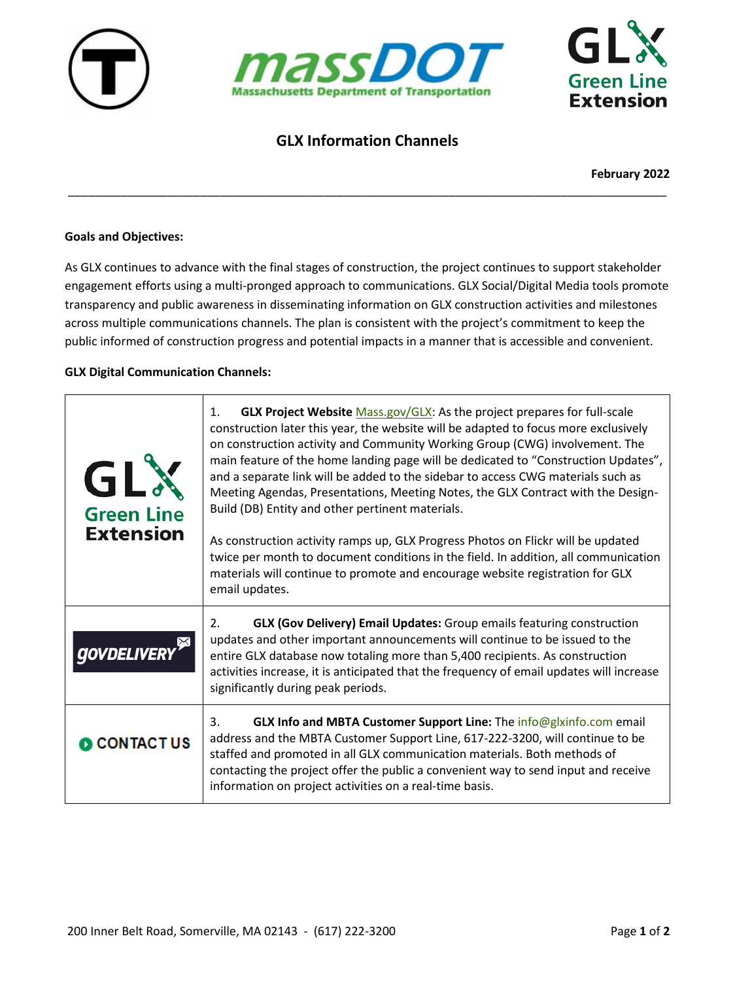





## **GLX Information Channels**

\_\_\_\_\_\_\_\_\_\_\_\_\_\_\_\_\_\_\_\_\_\_\_\_\_\_\_\_\_\_\_\_\_\_\_\_\_\_\_\_\_\_\_\_\_\_\_\_\_\_\_\_\_\_\_\_\_\_\_\_\_\_\_\_\_\_\_\_\_\_\_\_\_\_\_\_\_\_\_\_\_\_\_\_\_\_\_\_\_\_\_

**February 2022**

## **Goals and Objectives:**

As GLX continues to advance with the final stages of construction, the project continues to support stakeholder engagement efforts using a multi-pronged approach to communications. GLX Social/Digital Media tools promote transparency and public awareness in disseminating information on GLX construction activities and milestones across multiple communications channels. The plan is consistent with the project's commitment to keep the public informed of construction progress and potential impacts in a manner that is accessible and convenient.

## **GLX Digital Communication Channels:**

| GL<br><b>Green Line</b><br><b>Extension</b> | GLX Project Website Mass.gov/GLX: As the project prepares for full-scale<br>$\mathbf{1}$ .<br>construction later this year, the website will be adapted to focus more exclusively<br>on construction activity and Community Working Group (CWG) involvement. The<br>main feature of the home landing page will be dedicated to "Construction Updates",<br>and a separate link will be added to the sidebar to access CWG materials such as<br>Meeting Agendas, Presentations, Meeting Notes, the GLX Contract with the Design-<br>Build (DB) Entity and other pertinent materials.<br>As construction activity ramps up, GLX Progress Photos on Flickr will be updated<br>twice per month to document conditions in the field. In addition, all communication<br>materials will continue to promote and encourage website registration for GLX<br>email updates. |
|---------------------------------------------|------------------------------------------------------------------------------------------------------------------------------------------------------------------------------------------------------------------------------------------------------------------------------------------------------------------------------------------------------------------------------------------------------------------------------------------------------------------------------------------------------------------------------------------------------------------------------------------------------------------------------------------------------------------------------------------------------------------------------------------------------------------------------------------------------------------------------------------------------------------|
| <b>DELI</b>                                 | <b>GLX (Gov Delivery) Email Updates:</b> Group emails featuring construction<br>2.<br>updates and other important announcements will continue to be issued to the<br>entire GLX database now totaling more than 5,400 recipients. As construction<br>activities increase, it is anticipated that the frequency of email updates will increase<br>significantly during peak periods.                                                                                                                                                                                                                                                                                                                                                                                                                                                                              |
| <b>DICONTACT US</b>                         | GLX Info and MBTA Customer Support Line: The info@glxinfo.com email<br>3.<br>address and the MBTA Customer Support Line, 617-222-3200, will continue to be<br>staffed and promoted in all GLX communication materials. Both methods of<br>contacting the project offer the public a convenient way to send input and receive<br>information on project activities on a real-time basis.                                                                                                                                                                                                                                                                                                                                                                                                                                                                          |